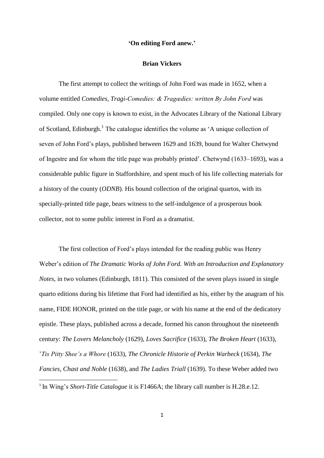## **'On editing Ford anew.'**

## **Brian Vickers**

The first attempt to collect the writings of John Ford was made in 1652, when a volume entitled *Comedies, Tragi-Comedies: & Tragœdies: written By John Ford* was compiled. Only one copy is known to exist, in the Advocates Library of the National Library of Scotland, Edinburgh.<sup>1</sup> The catalogue identifies the volume as 'A unique collection of seven of John Ford's plays, published between 1629 and 1639, bound for Walter Chetwynd of Ingestre and for whom the title page was probably printed'. Chetwynd (1633–1693), was a considerable public figure in Staffordshire, and spent much of his life collecting materials for a history of the county (*ODNB*). His bound collection of the original quartos, with its specially-printed title page, bears witness to the self-indulgence of a prosperous book collector, not to some public interest in Ford as a dramatist.

The first collection of Ford's plays intended for the reading public was Henry Weber's edition of *The Dramatic Works of John Ford. With an Introduction and Explanatory Notes*, in two volumes (Edinburgh, 1811). This consisted of the seven plays issued in single quarto editions during his lifetime that Ford had identified as his, either by the anagram of his name, FIDE HONOR, printed on the title page, or with his name at the end of the dedicatory epistle. These plays, published across a decade, formed his canon throughout the nineteenth century: *The Lovers Melancholy* (1629), *Loves Sacrifice* (1633), *The Broken Heart* (1633), '*Tis Pitty Shee's a Whore* (1633), *The Chronicle Historie of Perkin Warbeck* (1634), *The Fancies, Chast and Noble* (1638), and *The Ladies Triall* (1639). To these Weber added two 1

<sup>&</sup>lt;sup>1</sup> In Wing's *Short-Title Catalogue* it is F1466A; the library call number is H.28.e.12.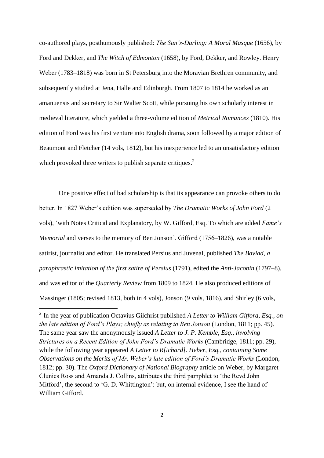co-authored plays, posthumously published: *The Sun's-Darling: A Moral Masque* (1656), by Ford and Dekker, and *The Witch of Edmonton* (1658), by Ford, Dekker, and Rowley. Henry Weber (1783–1818) was born in St Petersburg into the Moravian Brethren community, and subsequently studied at Jena, Halle and Edinburgh. From 1807 to 1814 he worked as an amanuensis and secretary to Sir Walter Scott, while pursuing his own scholarly interest in medieval literature, which yielded a three-volume edition of *Metrical Romances* (1810). His edition of Ford was his first venture into English drama, soon followed by a major edition of Beaumont and Fletcher (14 vols, 1812), but his inexperience led to an unsatisfactory edition which provoked three writers to publish separate critiques.<sup>2</sup>

One positive effect of bad scholarship is that its appearance can provoke others to do better. In 1827 Weber's edition was superseded by *The Dramatic Works of John Ford* (2 vols), 'with Notes Critical and Explanatory, by W. Gifford, Esq. To which are added *Fame's Memorial* and verses to the memory of Ben Jonson'. Gifford (1756–1826), was a notable satirist, journalist and editor. He translated Persius and Juvenal, published *The Baviad, a paraphrastic imitation of the first satire of Persius* (1791), edited the *Anti-Jacobin* (1797–8), and was editor of the *Quarterly Review* from 1809 to 1824. He also produced editions of Massinger (1805; revised 1813, both in 4 vols), Jonson (9 vols, 1816), and Shirley (6 vols,

1

<sup>2</sup> In the year of publication Octavius Gilchrist published *A Letter to William Gifford, Esq., on the late edition of Ford's Plays; chiefly as relating to Ben Jonson* (London, 1811; pp. 45). The same year saw the anonymously issued *A Letter to J. P. Kemble, Esq., involving Strictures on a Recent Edition of John Ford's Dramatic Works* (Cambridge, 1811; pp. 29), while the following year appeared *A Letter to R[ichard]. Heber, Esq., containing Some Observations on the Merits of Mr. Weber's late edition of Ford's Dramatic Works* (London, 1812; pp. 30). The *Oxford Dictionary of National Biography* article on Weber, by Margaret Clunies Ross and Amanda J. Collins, attributes the third pamphlet to 'the Revd John Mitford', the second to 'G. D. Whittington': but, on internal evidence, I see the hand of William Gifford.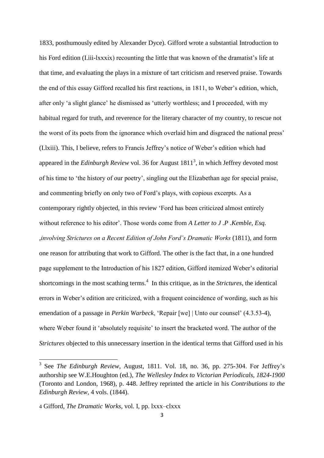1833, posthumously edited by Alexander Dyce). Gifford wrote a substantial Introduction to his Ford edition (I.iii-lxxxix) recounting the little that was known of the dramatist's life at that time, and evaluating the plays in a mixture of tart criticism and reserved praise. Towards the end of this essay Gifford recalled his first reactions, in 1811, to Weber's edition, which, after only 'a slight glance' he dismissed as 'utterly worthless; and I proceeded, with my habitual regard for truth, and reverence for the literary character of my country, to rescue not the worst of its poets from the ignorance which overlaid him and disgraced the national press' (I.lxiii). This, I believe, refers to Francis Jeffrey's notice of Weber's edition which had appeared in the *Edinburgh Review* vol. 36 for August 1811<sup>3</sup>, in which Jeffrey devoted most of his time to 'the history of our poetry', singling out the Elizabethan age for special praise, and commenting briefly on only two of Ford's plays, with copious excerpts. As a contemporary rightly objected, in this review 'Ford has been criticized almost entirely without reference to his editor'. Those words come from *A Letter to J .P .Kemble, Esq. ,involving Strictures on a Recent Edition of John Ford's Dramatic Works* (1811), and form one reason for attributing that work to Gifford. The other is the fact that, in a one hundred page supplement to the Introduction of his 1827 edition, Gifford itemized Weber's editorial shortcomings in the most scathing terms.<sup>4</sup> In this critique, as in the *Strictures*, the identical errors in Weber's edition are criticized, with a frequent coincidence of wording, such as his emendation of a passage in *Perkin Warbeck*, 'Repair [we] | Unto our counsel' (4.3.53-4), where Weber found it 'absolutely requisite' to insert the bracketed word. The author of the *Strictures* objected to this unnecessary insertion in the identical terms that Gifford used in his

<sup>&</sup>lt;sup>3</sup> See *The Edinburgh Review*, August, 1811. Vol. 18, no. 36, pp. 275-304. For Jeffrey's authorship see W.E.Houghton (ed.), *The Wellesley Index to Victorian Periodicals, 1824-1900* (Toronto and London, 1968), p. 448. Jeffrey reprinted the article in his *Contributions to the Edinburgh Review*, 4 vols. (1844).

<sup>4</sup> Gifford, *The Dramatic Works*, vol. I, pp. lxxx–clxxx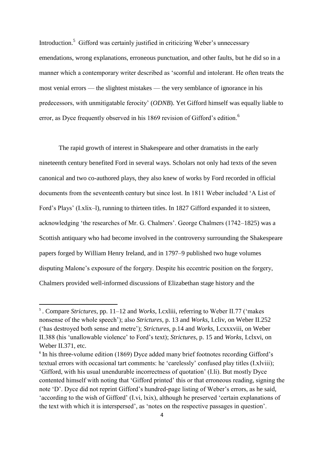Introduction.<sup>5</sup> Gifford was certainly justified in criticizing Weber's unnecessary emendations, wrong explanations, erroneous punctuation, and other faults, but he did so in a manner which a contemporary writer described as 'scornful and intolerant. He often treats the most venial errors — the slightest mistakes — the very semblance of ignorance in his predecessors, with unmitigatable ferocity' (*ODNB*). Yet Gifford himself was equally liable to error, as Dyce frequently observed in his 1869 revision of Gifford's edition.<sup>6</sup>

The rapid growth of interest in Shakespeare and other dramatists in the early nineteenth century benefited Ford in several ways. Scholars not only had texts of the seven canonical and two co-authored plays, they also knew of works by Ford recorded in official documents from the seventeenth century but since lost. In 1811 Weber included 'A List of Ford's Plays' (I.xlix–l), running to thirteen titles. In 1827 Gifford expanded it to sixteen, acknowledging 'the researches of Mr. G. Chalmers'. George Chalmers (1742–1825) was a Scottish antiquary who had become involved in the controversy surrounding the Shakespeare papers forged by William Henry Ireland, and in 1797–9 published two huge volumes disputing Malone's exposure of the forgery. Despite his eccentric position on the forgery, Chalmers provided well-informed discussions of Elizabethan stage history and the

<sup>5</sup> . Compare *Strictures*, pp. 11–12 and *Works*, I.cxliii, referring to Weber II.77 ('makes nonsense of the whole speech'); also *Strictures*, p. 13 and *Works*, I.cliv, on Weber II.252 ('has destroyed both sense and metre'); *Strictures*, p.14 and *Works*, I.cxxxviii, on Weber II.388 (his 'unallowable violence' to Ford's text); *Strictures*, p. 15 and *Works*, I.clxvi, on Weber II.371, etc.

<sup>&</sup>lt;sup>6</sup> In his three-volume edition (1869) Dyce added many brief footnotes recording Gifford's textual errors with occasional tart comments: he 'carelessly' confused play titles (I.xlviii); 'Gifford, with his usual unendurable incorrectness of quotation' (I.li). But mostly Dyce contented himself with noting that 'Gifford printed' this or that erroneous reading, signing the note 'D'. Dyce did not reprint Gifford's hundred-page listing of Weber's errors, as he said, 'according to the wish of Gifford' (I.vi, lxix), although he preserved 'certain explanations of the text with which it is interspersed', as 'notes on the respective passages in question'.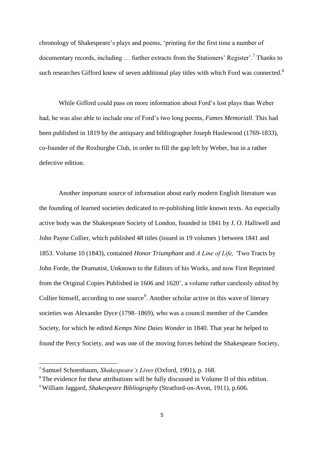chronology of Shakespeare's plays and poems, 'printing for the first time a number of documentary records, including ... further extracts from the Stationers' Register'.<sup>7</sup> Thanks to such researches Gifford knew of seven additional play titles with which Ford was connected. $8$ 

While Gifford could pass on more information about Ford's lost plays than Weber had, he was also able to include one of Ford's two long poems, *Fames Memoriall*. This had been published in 1819 by the antiquary and bibliographer Joseph Haslewood (1769-1833), co-founder of the Roxburghe Club, in order to fill the gap left by Weber, but in a rather defective edition.

Another important source of information about early modern English literature was the founding of learned societies dedicated to re-publishing little known texts. An especially active body was the Shakespeare Society of London, founded in 1841 by J. O. Halliwell and John Payne Collier, which published 48 titles (issued in 19 volumes ) between 1841 and 1853. Volume 10 (1843), contained *Honor Triumphant* and *A Line of Life, '*Two Tracts by John Forde, the Dramatist, Unknown to the Editors of his Works, and now First Reprinted from the Original Copies Published in 1606 and 1620', a volume rather carelessly edited by Collier himself, according to one source<sup>9</sup>. Another scholar active in this wave of literary societies was Alexander Dyce (1798–1869), who was a council member of the Camden Society, for which he edited *Kemps Nine Daies Wonder* in 1840. That year he helped to found the Percy Society, and was one of the moving forces behind the Shakespeare Society,

<sup>7</sup> Samuel Schoenbaum, *Shakespeare's Lives* (Oxford, 1991), p. 168.

<sup>&</sup>lt;sup>8</sup> The evidence for these attributions will be fully discussed in Volume II of this edition.

<sup>9</sup> William Jaggard, *Shakespeare Bibliography* (Stratford-on-Avon, 1911), p.606.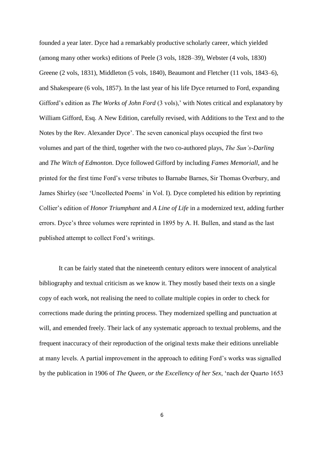founded a year later. Dyce had a remarkably productive scholarly career, which yielded (among many other works) editions of Peele (3 vols, 1828–39), Webster (4 vols, 1830) Greene (2 vols, 1831), Middleton (5 vols, 1840), Beaumont and Fletcher (11 vols, 1843–6), and Shakespeare (6 vols, 1857). In the last year of his life Dyce returned to Ford, expanding Gifford's edition as *The Works of John Ford* (3 vols),' with Notes critical and explanatory by William Gifford, Esq. A New Edition, carefully revised, with Additions to the Text and to the Notes by the Rev. Alexander Dyce'. The seven canonical plays occupied the first two volumes and part of the third, together with the two co-authored plays, *The Sun's-Darling* and *The Witch of Edmonton*. Dyce followed Gifford by including *Fames Memoriall*, and he printed for the first time Ford's verse tributes to Barnabe Barnes, Sir Thomas Overbury, and James Shirley (see 'Uncollected Poems' in Vol. I). Dyce completed his edition by reprinting Collier's edition of *Honor Triumphant* and *A Line of Life* in a modernized text, adding further errors. Dyce's three volumes were reprinted in 1895 by A. H. Bullen, and stand as the last published attempt to collect Ford's writings.

It can be fairly stated that the nineteenth century editors were innocent of analytical bibliography and textual criticism as we know it. They mostly based their texts on a single copy of each work, not realising the need to collate multiple copies in order to check for corrections made during the printing process. They modernized spelling and punctuation at will, and emended freely. Their lack of any systematic approach to textual problems, and the frequent inaccuracy of their reproduction of the original texts make their editions unreliable at many levels. A partial improvement in the approach to editing Ford's works was signalled by the publication in 1906 of *The Queen, or the Excellency of her Sex*, 'nach der Quarto 1653

6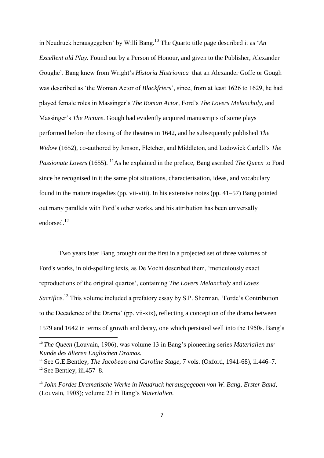in Neudruck herausgegeben' by Willi Bang.<sup>10</sup> The Quarto title page described it as '*An Excellent old Play.* Found out by a Person of Honour, and given to the Publisher, Alexander Goughe'. Bang knew from Wright's *Historia Histrionica* that an Alexander Goffe or Gough was described as 'the Woman Actor of *Blackfriers*', since, from at least 1626 to 1629, he had played female roles in Massinger's *The Roman Actor,* Ford's *The Lovers Melancholy*, and Massinger's *The Picture*. Gough had evidently acquired manuscripts of some plays performed before the closing of the theatres in 1642, and he subsequently published *The Widow* (1652), co-authored by Jonson, Fletcher, and Middleton, and Lodowick Carlell's *The Passionate Lovers* (1655). <sup>11</sup>As he explained in the preface, Bang ascribed *The Queen* to Ford since he recognised in it the same plot situations, characterisation, ideas, and vocabulary found in the mature tragedies (pp. vii-viii). In his extensive notes (pp. 41–57) Bang pointed out many parallels with Ford's other works, and his attribution has been universally endorsed.<sup>12</sup>

Two years later Bang brought out the first in a projected set of three volumes of Ford's works, in old-spelling texts, as De Vocht described them, 'meticulously exact reproductions of the original quartos', containing *The Lovers Melancholy* and *Loves*  Sacrifice.<sup>13</sup> This volume included a prefatory essay by S.P. Sherman, 'Forde's Contribution to the Decadence of the Drama' (pp. vii-xix), reflecting a conception of the drama between 1579 and 1642 in terms of growth and decay, one which persisted well into the 1950s. Bang's

<sup>10</sup> *The Queen* (Louvain, 1906), was volume 13 in Bang's pioneering series *Materialien zur Kunde des älteren Englischen Dramas.*

<sup>11</sup> See G.E.Bentley, *The Jacobean and Caroline Stage,* 7 vols. (Oxford, 1941-68), ii.446–7.  $12$  See Bentley, iii.457–8.

<sup>13</sup> *John Fordes Dramatische Werke in Neudruck herausgegeben von W. Bang, Erster Band*, (Louvain, 1908); volume 23 in Bang's *Materialien*.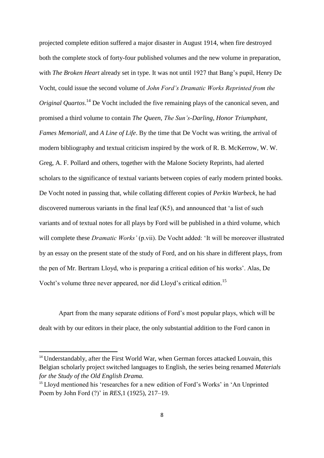projected complete edition suffered a major disaster in August 1914, when fire destroyed both the complete stock of forty-four published volumes and the new volume in preparation, with *The Broken Heart* already set in type. It was not until 1927 that Bang's pupil, Henry De Vocht, could issue the second volume of *John Ford's Dramatic Works Reprinted from the Original Quartos*. <sup>14</sup> De Vocht included the five remaining plays of the canonical seven, and promised a third volume to contain *The Queen*, *The Sun's-Darling*, *Honor Triumphant*, *Fames Memoriall,* and *A Line of Life*. By the time that De Vocht was writing, the arrival of modern bibliography and textual criticism inspired by the work of R. B. McKerrow, W. W. Greg, A. F. Pollard and others, together with the Malone Society Reprints, had alerted scholars to the significance of textual variants between copies of early modern printed books. De Vocht noted in passing that, while collating different copies of *Perkin Warbeck,* he had discovered numerous variants in the final leaf (K5), and announced that 'a list of such variants and of textual notes for all plays by Ford will be published in a third volume, which will complete these *Dramatic Works'* (p.vii). De Vocht added: 'It will be moreover illustrated by an essay on the present state of the study of Ford, and on his share in different plays, from the pen of Mr. Bertram Lloyd, who is preparing a critical edition of his works'. Alas, De Vocht's volume three never appeared, nor did Lloyd's critical edition.<sup>15</sup>

Apart from the many separate editions of Ford's most popular plays, which will be dealt with by our editors in their place, the only substantial addition to the Ford canon in

<sup>&</sup>lt;sup>14</sup> Understandably, after the First World War, when German forces attacked Louvain, this Belgian scholarly project switched languages to English, the series being renamed *Materials for the Study of the Old English Drama.* 

<sup>&</sup>lt;sup>15</sup> Lloyd mentioned his 'researches for a new edition of Ford's Works' in 'An Unprinted Poem by John Ford (?)' in *RES*,1 (1925), 217–19.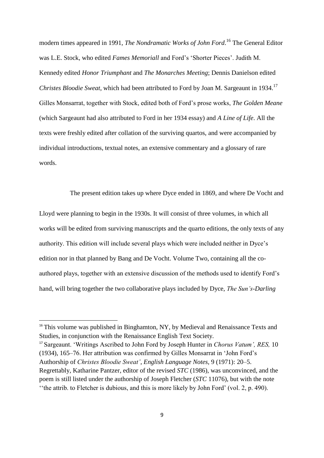modern times appeared in 1991, *The Nondramatic Works of John Ford*. <sup>16</sup> The General Editor was L.E. Stock, who edited *Fames Memoriall* and Ford's 'Shorter Pieces'. Judith M. Kennedy edited *Honor Triumphant* and *The Monarches Meeting*; Dennis Danielson edited *Christes Bloodie Sweat*, which had been attributed to Ford by Joan M. Sargeaunt in 1934.<sup>17</sup> Gilles Monsarrat, together with Stock, edited both of Ford's prose works, *The Golden Meane* (which Sargeaunt had also attributed to Ford in her 1934 essay) and *A Line of Life*. All the texts were freshly edited after collation of the surviving quartos, and were accompanied by individual introductions, textual notes, an extensive commentary and a glossary of rare words.

The present edition takes up where Dyce ended in 1869, and where De Vocht and

Lloyd were planning to begin in the 1930s. It will consist of three volumes, in which all works will be edited from surviving manuscripts and the quarto editions, the only texts of any authority. This edition will include several plays which were included neither in Dyce's edition nor in that planned by Bang and De Vocht. Volume Two, containing all the coauthored plays, together with an extensive discussion of the methods used to identify Ford's hand, will bring together the two collaborative plays included by Dyce, *The Sun's-Darling*

1

<sup>17</sup> Sargeaunt. 'Writings Ascribed to John Ford by Joseph Hunter in *Chorus Vatum', RES,* 10 (1934), 165–76. Her attribution was confirmed by Gilles Monsarrat in 'John Ford's Authorship of *Christes Bloodie Sweat'*, *English Language Notes,* 9 (1971): 20–5. Regrettably, Katharine Pantzer, editor of the revised *STC* (1986), was unconvinced, and the poem is still listed under the authorship of Joseph Fletcher (*STC* 11076), but with the note ''the attrib. to Fletcher is dubious, and this is more likely by John Ford' (vol. 2, p. 490).

<sup>&</sup>lt;sup>16</sup> This volume was published in Binghamton, NY, by Medieval and Renaissance Texts and Studies, in conjunction with the Renaissance English Text Society.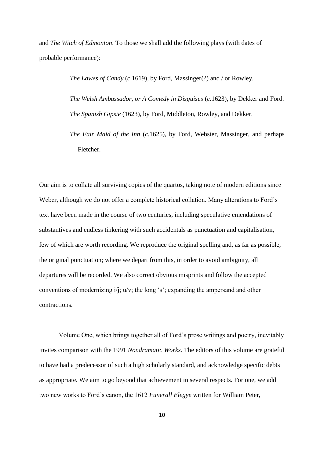and *The Witch of Edmonton*. To those we shall add the following plays (with dates of probable performance):

> *The Lawes of Candy* (*c.*1619), by Ford, Massinger(?) and / or Rowley*. The Welsh Ambassador, or A Comedy in Disguises* (*c.*1623), by Dekker and Ford. *The Spanish Gipsie* (1623), by Ford, Middleton, Rowley, and Dekker.

> *The Fair Maid of the Inn* (*c.*1625), by Ford, Webster, Massinger, and perhaps Fletcher.

Our aim is to collate all surviving copies of the quartos, taking note of modern editions since Weber, although we do not offer a complete historical collation. Many alterations to Ford's text have been made in the course of two centuries, including speculative emendations of substantives and endless tinkering with such accidentals as punctuation and capitalisation, few of which are worth recording. We reproduce the original spelling and, as far as possible, the original punctuation; where we depart from this, in order to avoid ambiguity, all departures will be recorded. We also correct obvious misprints and follow the accepted conventions of modernizing i/j; u/v; the long 's'; expanding the ampersand and other contractions.

Volume One, which brings together all of Ford's prose writings and poetry, inevitably invites comparison with the 1991 *Nondramatic Works*. The editors of this volume are grateful to have had a predecessor of such a high scholarly standard, and acknowledge specific debts as appropriate. We aim to go beyond that achievement in several respects. For one, we add two new works to Ford's canon, the 1612 *Funerall Elegye* written for William Peter,